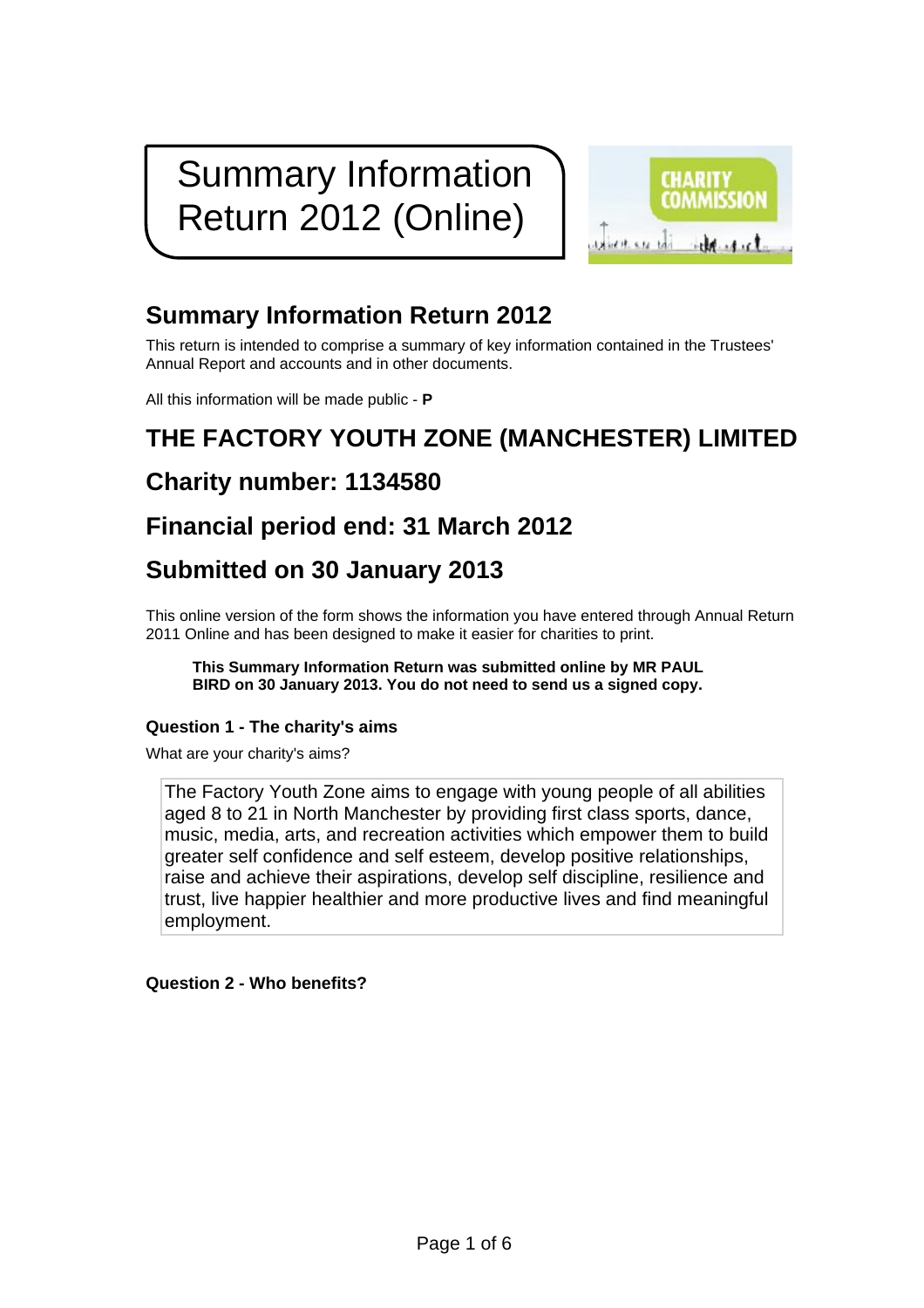# Summary Information Return 2012 (Online)



### **Summary Information Return 2012**

This return is intended to comprise a summary of key information contained in the Trustees' Annual Report and accounts and in other documents.

All this information will be made public - **P**

## **THE FACTORY YOUTH ZONE (MANCHESTER) LIMITED**

### **Charity number: 1134580**

### **Financial period end: 31 March 2012**

### **Submitted on 30 January 2013**

This online version of the form shows the information you have entered through Annual Return 2011 Online and has been designed to make it easier for charities to print.

**This Summary Information Return was submitted online by MR PAUL BIRD on 30 January 2013. You do not need to send us a signed copy.**

#### **Question 1 - The charity's aims**

What are your charity's aims?

The Factory Youth Zone aims to engage with young people of all abilities aged 8 to 21 in North Manchester by providing first class sports, dance, music, media, arts, and recreation activities which empower them to build greater self confidence and self esteem, develop positive relationships, raise and achieve their aspirations, develop self discipline, resilience and trust, live happier healthier and more productive lives and find meaningful employment.

**Question 2 - Who benefits?**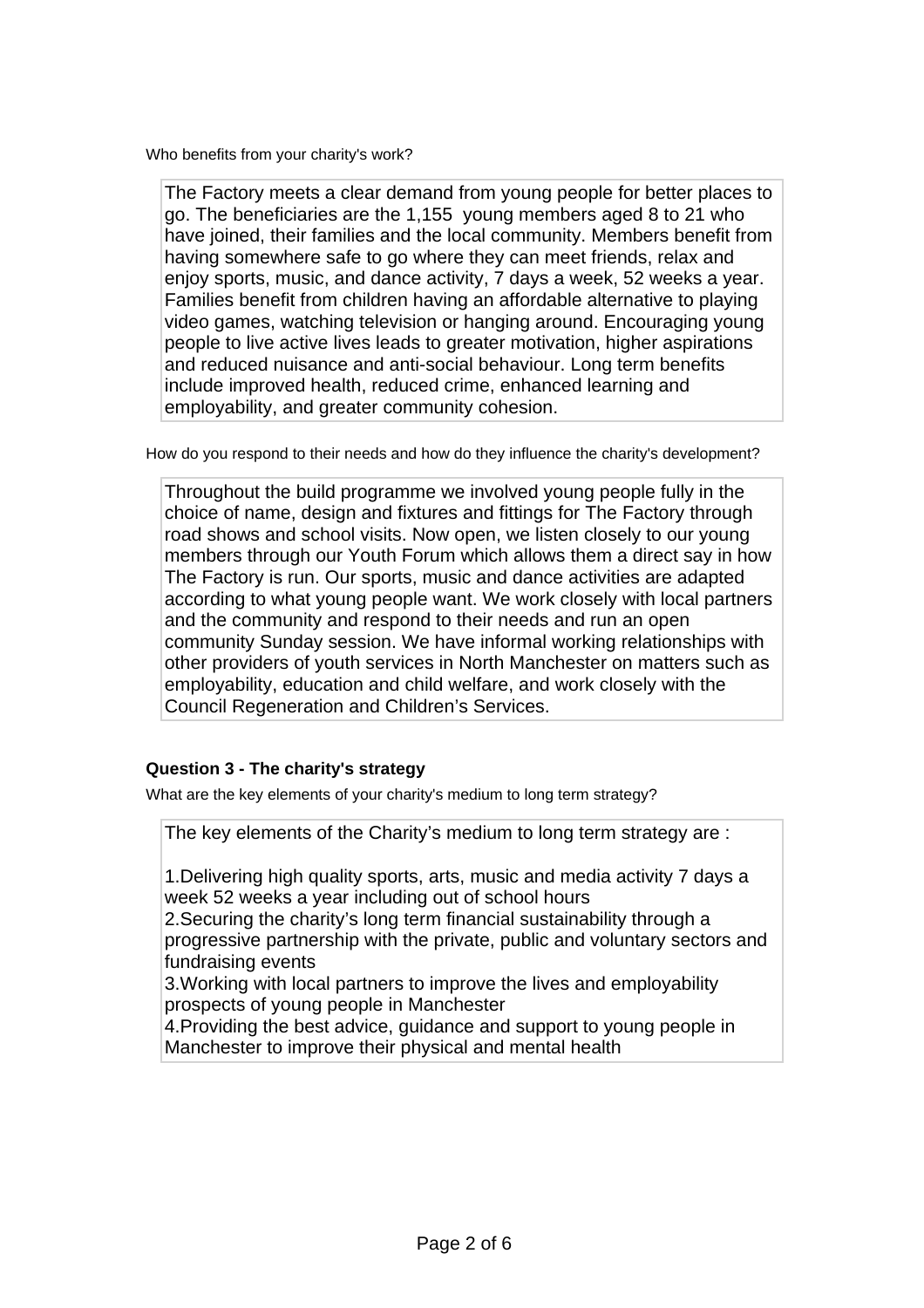Who benefits from your charity's work?

The Factory meets a clear demand from young people for better places to go. The beneficiaries are the 1,155 young members aged 8 to 21 who have joined, their families and the local community. Members benefit from having somewhere safe to go where they can meet friends, relax and enjoy sports, music, and dance activity, 7 days a week, 52 weeks a year. Families benefit from children having an affordable alternative to playing video games, watching television or hanging around. Encouraging young people to live active lives leads to greater motivation, higher aspirations and reduced nuisance and anti-social behaviour. Long term benefits include improved health, reduced crime, enhanced learning and employability, and greater community cohesion.

How do you respond to their needs and how do they influence the charity's development?

Throughout the build programme we involved young people fully in the choice of name, design and fixtures and fittings for The Factory through road shows and school visits. Now open, we listen closely to our young members through our Youth Forum which allows them a direct say in how The Factory is run. Our sports, music and dance activities are adapted according to what young people want. We work closely with local partners and the community and respond to their needs and run an open community Sunday session. We have informal working relationships with other providers of youth services in North Manchester on matters such as employability, education and child welfare, and work closely with the Council Regeneration and Children's Services.

#### **Question 3 - The charity's strategy**

What are the key elements of your charity's medium to long term strategy?

The key elements of the Charity's medium to long term strategy are :

1.Delivering high quality sports, arts, music and media activity 7 days a week 52 weeks a year including out of school hours

2.Securing the charity's long term financial sustainability through a progressive partnership with the private, public and voluntary sectors and fundraising events

3.Working with local partners to improve the lives and employability prospects of young people in Manchester

4.Providing the best advice, guidance and support to young people in Manchester to improve their physical and mental health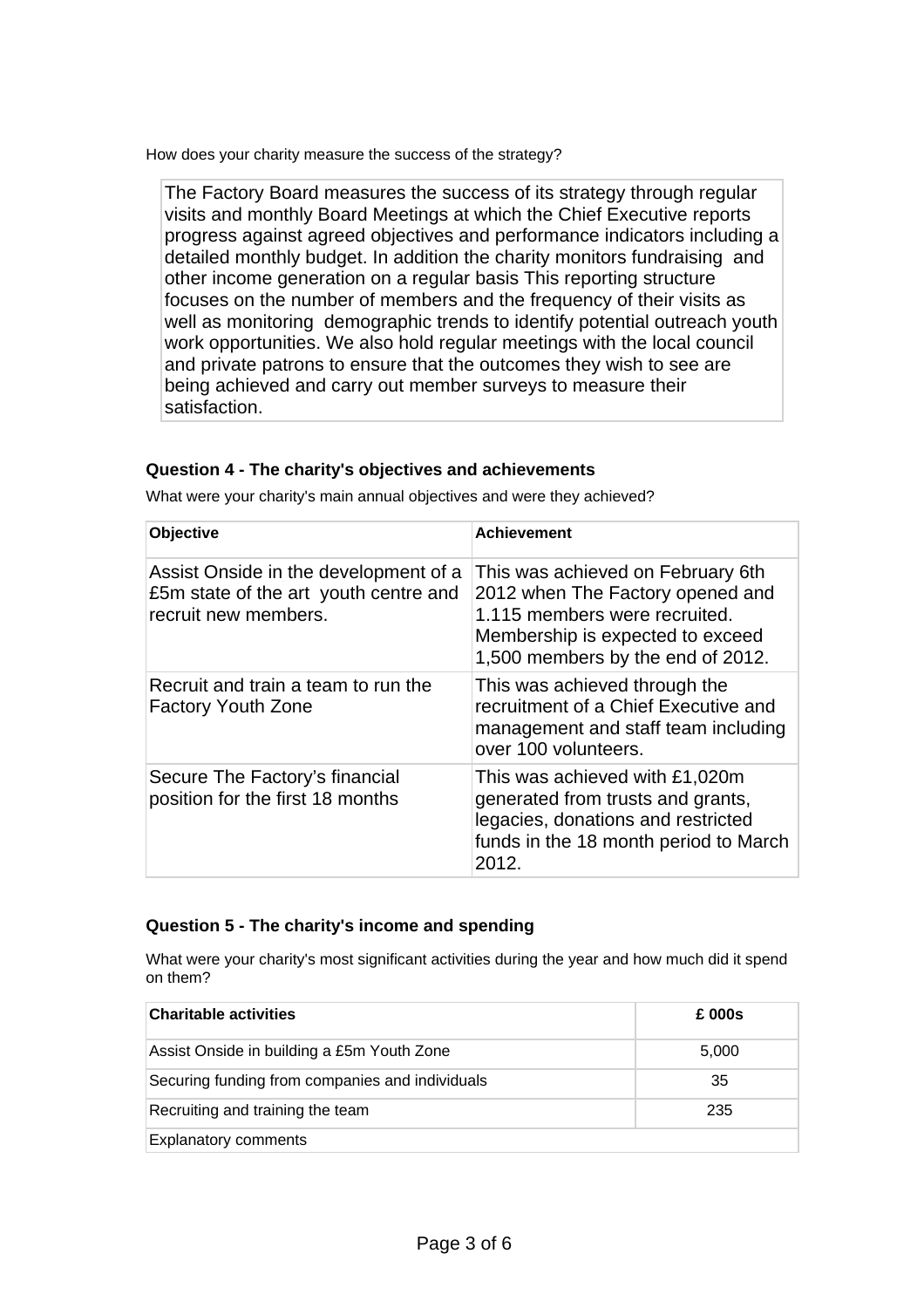How does your charity measure the success of the strategy?

The Factory Board measures the success of its strategy through regular visits and monthly Board Meetings at which the Chief Executive reports progress against agreed objectives and performance indicators including a detailed monthly budget. In addition the charity monitors fundraising and other income generation on a regular basis This reporting structure focuses on the number of members and the frequency of their visits as well as monitoring demographic trends to identify potential outreach youth work opportunities. We also hold regular meetings with the local council and private patrons to ensure that the outcomes they wish to see are being achieved and carry out member surveys to measure their satisfaction.

#### **Question 4 - The charity's objectives and achievements**

| Objective                                                                                              | <b>Achievement</b>                                                                                                                                                              |  |  |
|--------------------------------------------------------------------------------------------------------|---------------------------------------------------------------------------------------------------------------------------------------------------------------------------------|--|--|
| Assist Onside in the development of a<br>£5m state of the art youth centre and<br>recruit new members. | This was achieved on February 6th<br>2012 when The Factory opened and<br>1.115 members were recruited.<br>Membership is expected to exceed<br>1,500 members by the end of 2012. |  |  |
| Recruit and train a team to run the<br><b>Factory Youth Zone</b>                                       | This was achieved through the<br>recruitment of a Chief Executive and<br>management and staff team including<br>over 100 volunteers.                                            |  |  |
| Secure The Factory's financial<br>position for the first 18 months                                     | This was achieved with £1,020m<br>generated from trusts and grants,<br>legacies, donations and restricted<br>funds in the 18 month period to March<br>2012.                     |  |  |

What were your charity's main annual objectives and were they achieved?

#### **Question 5 - The charity's income and spending**

What were your charity's most significant activities during the year and how much did it spend on them?

| <b>Charitable activities</b>                    | £ 000s |  |
|-------------------------------------------------|--------|--|
| Assist Onside in building a £5m Youth Zone      | 5,000  |  |
| Securing funding from companies and individuals | 35     |  |
| Recruiting and training the team                | 235    |  |
| <b>Explanatory comments</b>                     |        |  |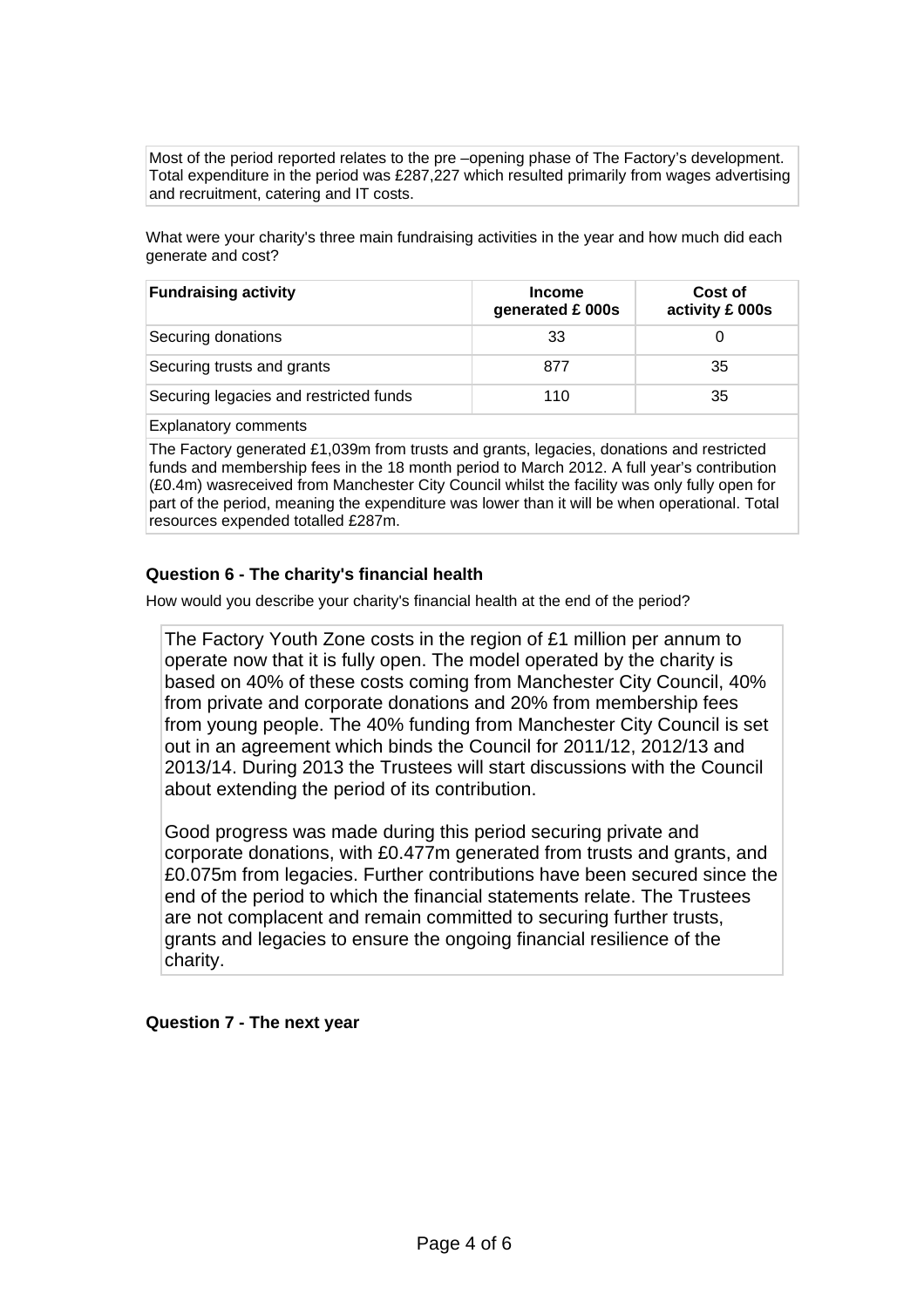Most of the period reported relates to the pre –opening phase of The Factory's development. Total expenditure in the period was £287,227 which resulted primarily from wages advertising and recruitment, catering and IT costs.

What were your charity's three main fundraising activities in the year and how much did each generate and cost?

| <b>Fundraising activity</b>            | <b>Income</b><br>generated £ 000s | Cost of<br>activity £ 000s |
|----------------------------------------|-----------------------------------|----------------------------|
| Securing donations                     | 33                                |                            |
| Securing trusts and grants             | 877                               | 35                         |
| Securing legacies and restricted funds | 110                               | 35                         |
|                                        |                                   |                            |

Explanatory comments

The Factory generated £1,039m from trusts and grants, legacies, donations and restricted funds and membership fees in the 18 month period to March 2012. A full year's contribution (£0.4m) wasreceived from Manchester City Council whilst the facility was only fully open for part of the period, meaning the expenditure was lower than it will be when operational. Total resources expended totalled £287m.

#### **Question 6 - The charity's financial health**

How would you describe your charity's financial health at the end of the period?

The Factory Youth Zone costs in the region of £1 million per annum to operate now that it is fully open. The model operated by the charity is based on 40% of these costs coming from Manchester City Council, 40% from private and corporate donations and 20% from membership fees from young people. The 40% funding from Manchester City Council is set out in an agreement which binds the Council for 2011/12, 2012/13 and 2013/14. During 2013 the Trustees will start discussions with the Council about extending the period of its contribution.

Good progress was made during this period securing private and corporate donations, with £0.477m generated from trusts and grants, and £0.075m from legacies. Further contributions have been secured since the end of the period to which the financial statements relate. The Trustees are not complacent and remain committed to securing further trusts, grants and legacies to ensure the ongoing financial resilience of the charity.

#### **Question 7 - The next year**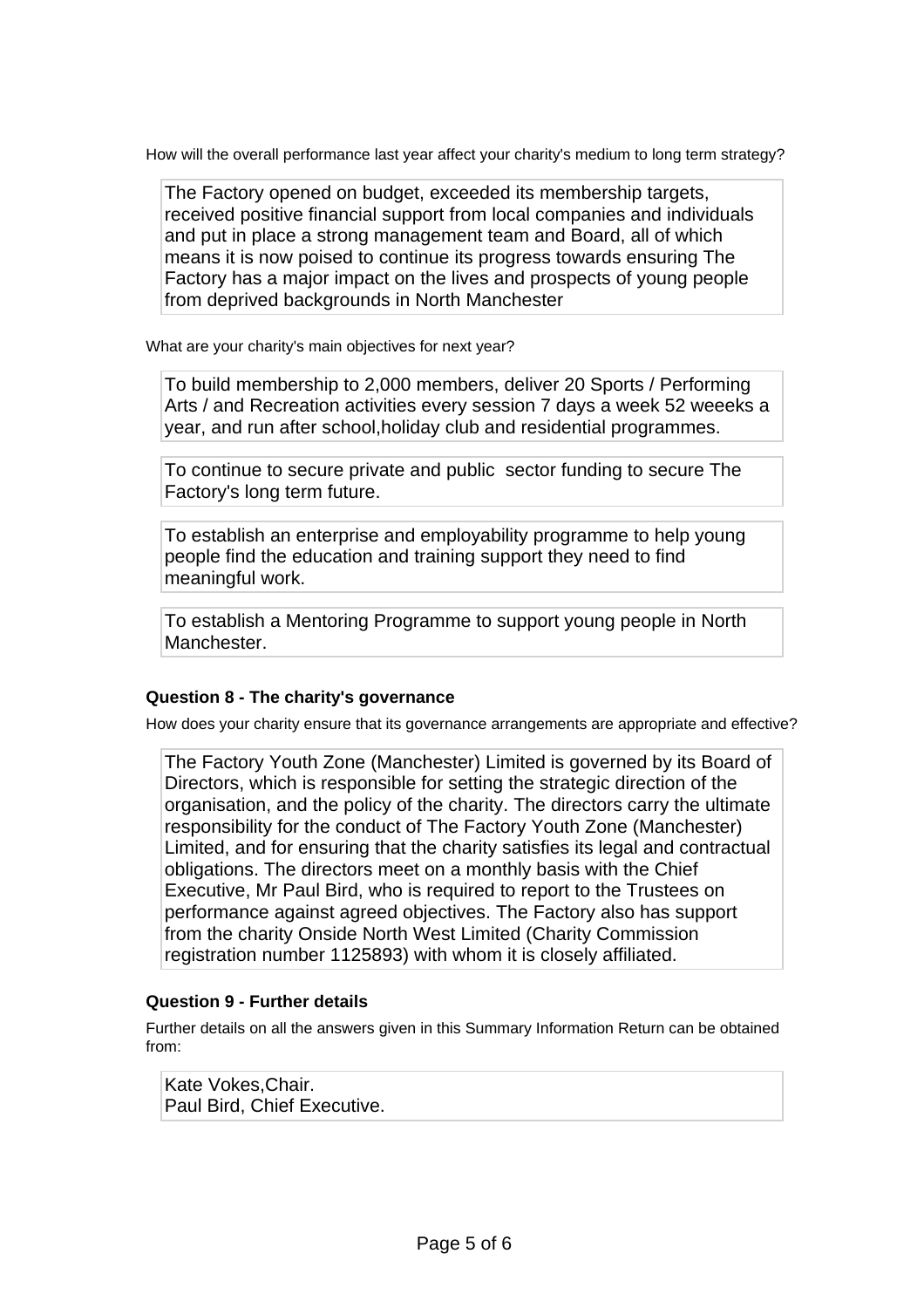How will the overall performance last year affect your charity's medium to long term strategy?

The Factory opened on budget, exceeded its membership targets, received positive financial support from local companies and individuals and put in place a strong management team and Board, all of which means it is now poised to continue its progress towards ensuring The Factory has a major impact on the lives and prospects of young people from deprived backgrounds in North Manchester

What are your charity's main objectives for next year?

To build membership to 2,000 members, deliver 20 Sports / Performing Arts / and Recreation activities every session 7 days a week 52 weeeks a year, and run after school,holiday club and residential programmes.

To continue to secure private and public sector funding to secure The Factory's long term future.

To establish an enterprise and employability programme to help young people find the education and training support they need to find meaningful work.

To establish a Mentoring Programme to support young people in North Manchester.

#### **Question 8 - The charity's governance**

How does your charity ensure that its governance arrangements are appropriate and effective?

The Factory Youth Zone (Manchester) Limited is governed by its Board of Directors, which is responsible for setting the strategic direction of the organisation, and the policy of the charity. The directors carry the ultimate responsibility for the conduct of The Factory Youth Zone (Manchester) Limited, and for ensuring that the charity satisfies its legal and contractual obligations. The directors meet on a monthly basis with the Chief Executive, Mr Paul Bird, who is required to report to the Trustees on performance against agreed objectives. The Factory also has support from the charity Onside North West Limited (Charity Commission registration number 1125893) with whom it is closely affiliated.

#### **Question 9 - Further details**

Further details on all the answers given in this Summary Information Return can be obtained from:

Kate Vokes,Chair. Paul Bird, Chief Executive.